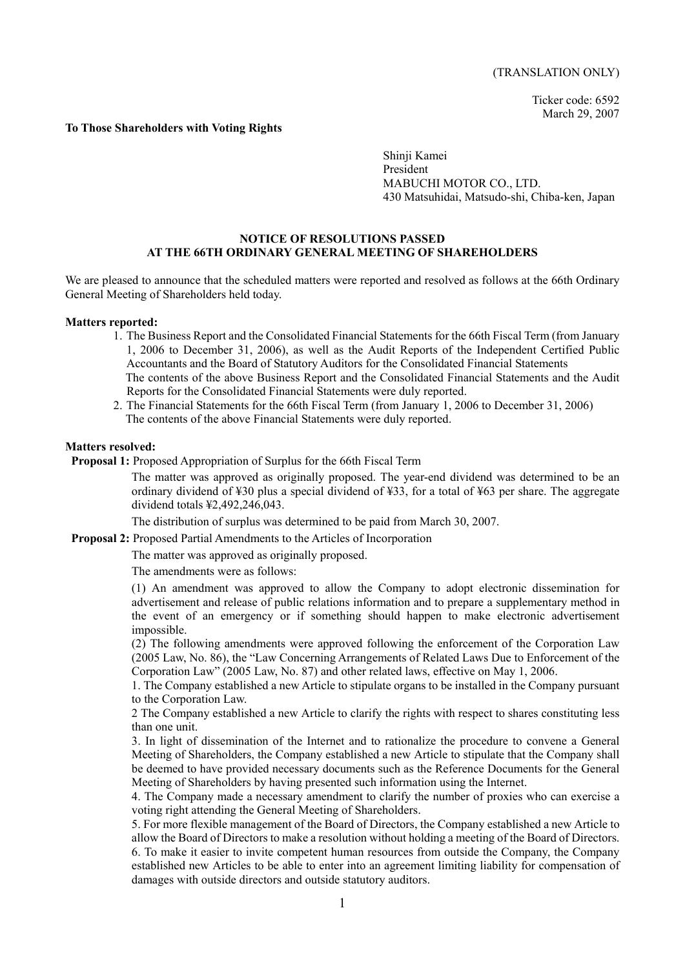Ticker code: 6592 March 29, 2007

#### **To Those Shareholders with Voting Rights**

Shinji Kamei President MABUCHI MOTOR CO., LTD. 430 Matsuhidai, Matsudo-shi, Chiba-ken, Japan

## **NOTICE OF RESOLUTIONS PASSED AT THE 66TH ORDINARY GENERAL MEETING OF SHAREHOLDERS**

We are pleased to announce that the scheduled matters were reported and resolved as follows at the 66th Ordinary General Meeting of Shareholders held today.

#### **Matters reported:**

- 1. The Business Report and the Consolidated Financial Statements for the 66th Fiscal Term (from January 1, 2006 to December 31, 2006), as well as the Audit Reports of the Independent Certified Public Accountants and the Board of Statutory Auditors for the Consolidated Financial Statements The contents of the above Business Report and the Consolidated Financial Statements and the Audit Reports for the Consolidated Financial Statements were duly reported.
- 2. The Financial Statements for the 66th Fiscal Term (from January 1, 2006 to December 31, 2006) The contents of the above Financial Statements were duly reported.

## **Matters resolved:**

**Proposal 1:** Proposed Appropriation of Surplus for the 66th Fiscal Term

The matter was approved as originally proposed. The year-end dividend was determined to be an ordinary dividend of ¥30 plus a special dividend of ¥33, for a total of ¥63 per share. The aggregate dividend totals ¥2,492,246,043.

The distribution of surplus was determined to be paid from March 30, 2007.

 **Proposal 2:** Proposed Partial Amendments to the Articles of Incorporation

The matter was approved as originally proposed.

The amendments were as follows:

(1) An amendment was approved to allow the Company to adopt electronic dissemination for advertisement and release of public relations information and to prepare a supplementary method in the event of an emergency or if something should happen to make electronic advertisement impossible.

(2) The following amendments were approved following the enforcement of the Corporation Law (2005 Law, No. 86), the "Law Concerning Arrangements of Related Laws Due to Enforcement of the Corporation Law" (2005 Law, No. 87) and other related laws, effective on May 1, 2006.

1. The Company established a new Article to stipulate organs to be installed in the Company pursuant to the Corporation Law.

2 The Company established a new Article to clarify the rights with respect to shares constituting less than one unit.

3. In light of dissemination of the Internet and to rationalize the procedure to convene a General Meeting of Shareholders, the Company established a new Article to stipulate that the Company shall be deemed to have provided necessary documents such as the Reference Documents for the General Meeting of Shareholders by having presented such information using the Internet.

4. The Company made a necessary amendment to clarify the number of proxies who can exercise a voting right attending the General Meeting of Shareholders.

5. For more flexible management of the Board of Directors, the Company established a new Article to allow the Board of Directors to make a resolution without holding a meeting of the Board of Directors. 6. To make it easier to invite competent human resources from outside the Company, the Company established new Articles to be able to enter into an agreement limiting liability for compensation of damages with outside directors and outside statutory auditors.